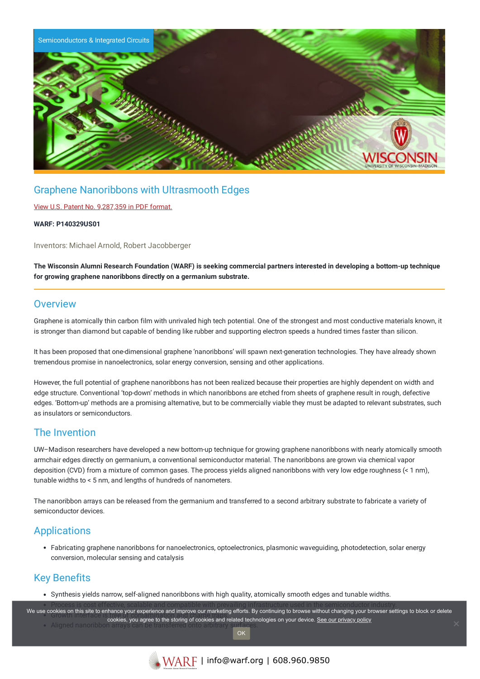

## Graphene Nanoribbons with Ultrasmooth Edges

#### View U.S. Patent No. [9,287,359](https://www.warf.org/wp-content/uploads/technologies/ipstatus/P140329US01.PDF) in PDF format.

#### **WARF: P140329US01**

Inventors: Michael Arnold, Robert Jacobberger

The Wisconsin Alumni Research Foundation (WARF) is seeking commercial partners interested in developing a bottom-up technique **for growing graphene nanoribbons directly on a germanium substrate.**

### **Overview**

Graphene is atomically thin carbon film with unrivaled high tech potential. One of the strongest and most conductive materials known, it is stronger than diamond but capable of bending like rubber and supporting electron speeds a hundred times faster than silicon.

It has been proposed that one-dimensional graphene 'nanoribbons' will spawn next-generation technologies. They have already shown tremendous promise in nanoelectronics, solar energy conversion, sensing and other applications.

However, the full potential of graphene nanoribbons has not been realized because their properties are highly dependent on width and edge structure. Conventional 'top-down' methods in which nanoribbons are etched from sheets of graphene result in rough, defective edges. 'Bottom-up' methods are a promising alternative, but to be commercially viable they must be adapted to relevant substrates, such as insulators or semiconductors.

## The Invention

UW–Madison researchers have developed a new bottom-up technique for growing graphene nanoribbons with nearly atomically smooth armchair edges directly on germanium, a conventional semiconductor material. The nanoribbons are grown via chemical vapor deposition (CVD) from a mixture of common gases. The process yields aligned nanoribbons with very low edge roughness (< 1 nm), tunable widths to < 5 nm, and lengths of hundreds of nanometers.

The nanoribbon arrays can be released from the germanium and transferred to a second arbitrary substrate to fabricate a variety of semiconductor devices.

## Applications

Fabricating graphene nanoribbons for nanoelectronics, optoelectronics, plasmonic waveguiding, photodetection, solar energy conversion, molecular sensing and catalysis

## Key Benefits

Synthesis yields narrow, self-aligned nanoribbons with high quality, atomically smooth edges and tunable widths.

Process is cost effective, scalable and compatible with prevailing infrastructure used in the semiconductor industry.

We use cookies on this site to enhance your experience and improve our marketing efforts. By continuing to browse without changing your browser settings to block or delete • Aligned nanoribbon cookies, you agree to the storing of cookies and related technologies on your device. [See our privacy policy](https://www.warf.org/privacy-policy/)